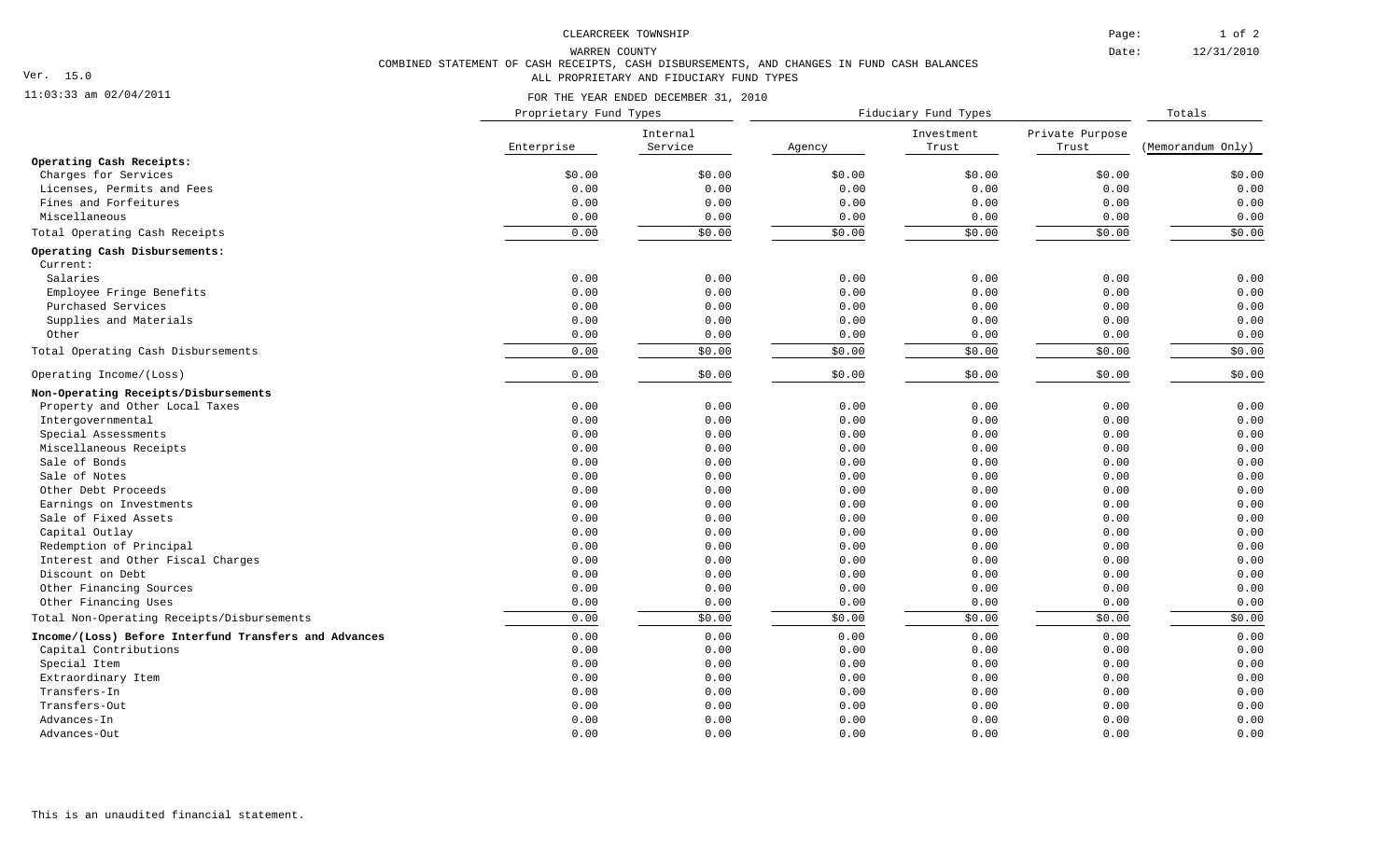1 of 2 Page:

Date:

12/31/2010

WARREN COUNTY

## Ver. 15.0

## 11:03:33 am 02/04/2011

FOR THE YEAR ENDED DECEMBER 31, 2010

COMBINED STATEMENT OF CASH RECEIPTS, CASH DISBURSEMENTS, AND CHANGES IN FUND CASH BALANCES

ALL PROPRIETARY AND FIDUCIARY FUND TYPES

|                                                       | Proprietary Fund Types |                     | Fiduciary Fund Types |                     |                          | Totals            |
|-------------------------------------------------------|------------------------|---------------------|----------------------|---------------------|--------------------------|-------------------|
|                                                       | Enterprise             | Internal<br>Service | Agency               | Investment<br>Trust | Private Purpose<br>Trust | (Memorandum Only) |
| Operating Cash Receipts:                              |                        |                     |                      |                     |                          |                   |
| Charges for Services                                  | \$0.00                 | \$0.00              | \$0.00               | \$0.00              | \$0.00                   | \$0.00            |
| Licenses, Permits and Fees                            | 0.00                   | 0.00                | 0.00                 | 0.00                | 0.00                     | 0.00              |
| Fines and Forfeitures                                 | 0.00                   | 0.00                | 0.00                 | 0.00                | 0.00                     | 0.00              |
| Miscellaneous                                         | 0.00                   | 0.00                | 0.00                 | 0.00                | 0.00                     | 0.00              |
| Total Operating Cash Receipts                         | 0.00                   | \$0.00              | \$0.00               | \$0.00              | \$0.00                   | \$0.00            |
| Operating Cash Disbursements:                         |                        |                     |                      |                     |                          |                   |
| Current:                                              |                        |                     |                      |                     |                          |                   |
| Salaries                                              | 0.00                   | 0.00                | 0.00                 | 0.00                | 0.00                     | 0.00              |
| Employee Fringe Benefits                              | 0.00                   | 0.00                | 0.00                 | 0.00                | 0.00                     | 0.00              |
| Purchased Services                                    | 0.00                   | 0.00                | 0.00                 | 0.00                | 0.00                     | 0.00              |
| Supplies and Materials                                | 0.00                   | 0.00                | 0.00                 | 0.00                | 0.00                     | 0.00              |
| Other                                                 | 0.00                   | 0.00                | 0.00                 | 0.00                | 0.00                     | 0.00              |
| Total Operating Cash Disbursements                    | 0.00                   | \$0.00              | \$0.00               | \$0.00              | \$0.00                   | \$0.00            |
| Operating Income/(Loss)                               | 0.00                   | \$0.00              | \$0.00               | \$0.00              | \$0.00                   | \$0.00            |
| Non-Operating Receipts/Disbursements                  |                        |                     |                      |                     |                          |                   |
| Property and Other Local Taxes                        | 0.00                   | 0.00                | 0.00                 | 0.00                | 0.00                     | 0.00              |
| Intergovernmental                                     | 0.00                   | 0.00                | 0.00                 | 0.00                | 0.00                     | 0.00              |
| Special Assessments                                   | 0.00                   | 0.00                | 0.00                 | 0.00                | 0.00                     | 0.00              |
| Miscellaneous Receipts                                | 0.00                   | 0.00                | 0.00                 | 0.00                | 0.00                     | 0.00              |
| Sale of Bonds                                         | 0.00                   | 0.00                | 0.00                 | 0.00                | 0.00                     | 0.00              |
| Sale of Notes                                         | 0.00                   | 0.00                | 0.00                 | 0.00                | 0.00                     | 0.00              |
| Other Debt Proceeds                                   | 0.00                   | 0.00                | 0.00                 | 0.00                | 0.00                     | 0.00              |
| Earnings on Investments                               | 0.00                   | 0.00                | 0.00                 | 0.00                | 0.00                     | 0.00              |
| Sale of Fixed Assets                                  | 0.00                   | 0.00                | 0.00                 | 0.00                | 0.00                     | 0.00              |
| Capital Outlay                                        | 0.00                   | 0.00                | 0.00                 | 0.00                | 0.00                     | 0.00              |
| Redemption of Principal                               | 0.00                   | 0.00                | 0.00                 | 0.00                | 0.00                     | 0.00              |
| Interest and Other Fiscal Charges                     | 0.00                   | 0.00                | 0.00                 | 0.00                | 0.00                     | 0.00              |
| Discount on Debt                                      | 0.00                   | 0.00                | 0.00                 | 0.00                | 0.00                     | 0.00              |
| Other Financing Sources                               | 0.00                   | 0.00                | 0.00                 | 0.00                | 0.00                     | 0.00              |
| Other Financing Uses                                  | 0.00                   | 0.00                | 0.00                 | 0.00                | 0.00                     | 0.00              |
| Total Non-Operating Receipts/Disbursements            | 0.00                   | \$0.00              | \$0.00               | \$0.00              | \$0.00                   | \$0.00            |
| Income/(Loss) Before Interfund Transfers and Advances | 0.00                   | 0.00                | 0.00                 | 0.00                | 0.00                     | 0.00              |
| Capital Contributions                                 | 0.00                   | 0.00                | 0.00                 | 0.00                | 0.00                     | 0.00              |
| Special Item                                          | 0.00                   | 0.00                | 0.00                 | 0.00                | 0.00                     | 0.00              |
| Extraordinary Item                                    | 0.00                   | 0.00                | 0.00                 | 0.00                | 0.00                     | 0.00              |
| Transfers-In                                          | 0.00                   | 0.00                | 0.00                 | 0.00                | 0.00                     | 0.00              |
| Transfers-Out                                         | 0.00                   | 0.00                | 0.00                 | 0.00                | 0.00                     | 0.00              |
| Advances-In                                           | 0.00                   | 0.00                | 0.00                 | 0.00                | 0.00                     | 0.00              |
| Advances-Out                                          | 0.00                   | 0.00                | 0.00                 | 0.00                | 0.00                     | 0.00              |